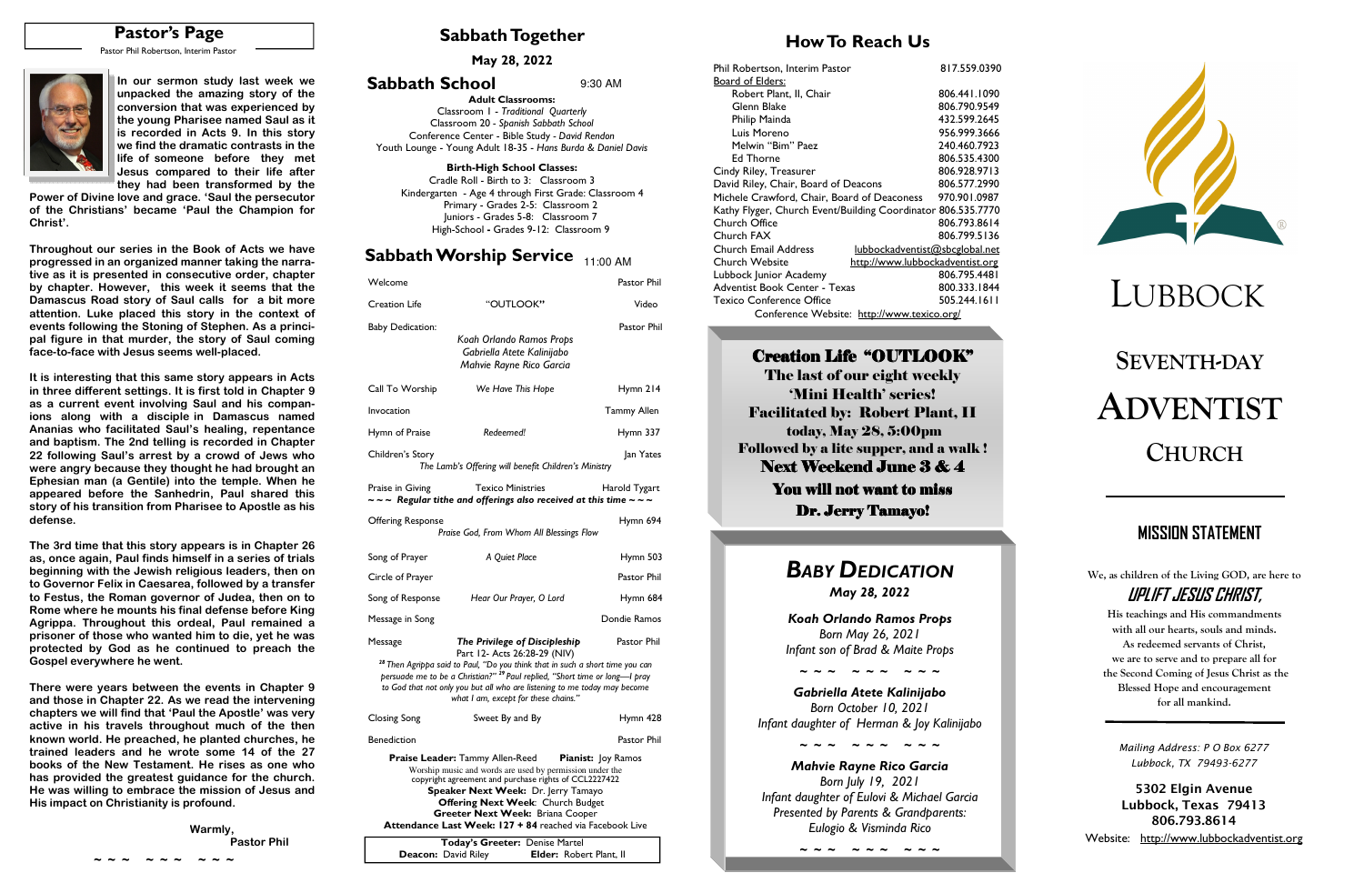# **SEVENTH-DAYADVENTISTCHURCH**

### **Sabbath Together**

# **How To Reach Us**

**May 28, 2022** 



| Welcome                                                |                                                                                                                                                                                                                                                                                                                                                                                             | Pastor Phil                              | Adventist Book Center - Texas                                                                                                                                                                                        | 800.333.1844 |                                                                                                                                                                                                               |
|--------------------------------------------------------|---------------------------------------------------------------------------------------------------------------------------------------------------------------------------------------------------------------------------------------------------------------------------------------------------------------------------------------------------------------------------------------------|------------------------------------------|----------------------------------------------------------------------------------------------------------------------------------------------------------------------------------------------------------------------|--------------|---------------------------------------------------------------------------------------------------------------------------------------------------------------------------------------------------------------|
| <b>Creation Life</b>                                   | "OUTLOOK"                                                                                                                                                                                                                                                                                                                                                                                   | Video                                    | <b>Texico Conference Office</b><br>Conference Website: http://www.texico.org/                                                                                                                                        | 505.244.1611 |                                                                                                                                                                                                               |
| <b>Baby Dedication:</b>                                | Koah Orlando Ramos Props<br>Gabriella Atete Kalinijabo<br>Mahvie Rayne Rico Garcia                                                                                                                                                                                                                                                                                                          | Pastor Phil                              | <b>Creation Life "OUTLOOK"</b><br>The last of our eight weekly                                                                                                                                                       |              | <b>SEVENTH-DA</b>                                                                                                                                                                                             |
| Call To Worship<br>Invocation                          | We Have This Hope                                                                                                                                                                                                                                                                                                                                                                           | Hymn 214<br><b>Tammy Allen</b>           | 'Mini Health' series!<br><b>Facilitated by: Robert Plant, II</b>                                                                                                                                                     |              | ADVENTI                                                                                                                                                                                                       |
| Hymn of Praise<br>Children's Story                     | Redeemed!<br>The Lamb's Offering will benefit Children's Ministry                                                                                                                                                                                                                                                                                                                           | Hymn 337<br>Jan Yates                    | today, May 28, 5:00pm<br><b>Followed by a lite supper, and a walk !</b><br><b>Next Weekend June 3 &amp; 4</b>                                                                                                        |              | <b>CHURCH</b>                                                                                                                                                                                                 |
| Praise in Giving<br><b>Offering Response</b>           | <b>Texico Ministries</b><br>$\sim$ ~ Regular tithe and offerings also received at this time ~ ~ ~<br>Praise God, From Whom All Blessings Flow                                                                                                                                                                                                                                               | Harold Tygart<br>Hymn 694                | You will not want to miss<br><b>Dr. Jerry Tamayo!</b>                                                                                                                                                                |              | <b>MISSION STATEME</b>                                                                                                                                                                                        |
| Song of Prayer<br>Circle of Prayer<br>Song of Response | A Quiet Place<br>Hear Our Prayer, O Lord                                                                                                                                                                                                                                                                                                                                                    | Hymn 503<br>Pastor Phil<br>Hymn 684      | <b>BABY DEDICATION</b><br>May 28, 2022                                                                                                                                                                               |              | We, as children of the Living GOI<br>UPLIFT JESUS CHR                                                                                                                                                         |
| Message in Song<br>Message<br>Closing Song             | The Privilege of Discipleship<br>Part 12- Acts 26:28-29 (NIV)<br><sup>28</sup> Then Agrippa said to Paul, "Do you think that in such a short time you can<br>persuade me to be a Christian?" <sup>29</sup> Paul replied, "Short time or long-I pray<br>to God that not only you but all who are listening to me today may become<br>what I am, except for these chains."<br>Sweet By and By | Dondie Ramos<br>Pastor Phil<br>Hymn 428  | Koah Orlando Ramos Props<br>Born May 26, 2021<br>Infant son of Brad & Maite Props<br>Gabriella Atete Kalinijabo<br>Born October 10, 2021                                                                             |              | His teachings and His comma<br>with all our hearts, souls and<br>As redeemed servants of C<br>we are to serve and to prepar<br>the Second Coming of Jesus Cl<br>Blessed Hope and encourag<br>for all mankind. |
| <b>Benediction</b>                                     | Praise Leader: Tammy Allen-Reed<br>Worship music and words are used by permission under the<br>copyright agreement and purchase rights of CCL2227422<br>Speaker Next Week: Dr. Jerry Tamayo<br>Offering Next Week: Church Budget<br>Greeter Next Week: Briana Cooper<br>Attendance Last Week: 127 + 84 reached via Facebook Live                                                            | Pastor Phil<br><b>Pianist:</b> Joy Ramos | Infant daughter of Herman & Joy Kalinijabo<br><b>Mahvie Rayne Rico Garcia</b><br>Born July 19, 2021<br>Infant daughter of Eulovi & Michael Garcia<br>Presented by Parents & Grandparents:<br>Eulogio & Visminda Rico |              | Mailing Address: P O Box<br>Lubbock, TX 79493-62<br>5302 Elgin Avenu<br>Lubbock, Texas 79<br>806.793.8614<br>Wahsita: http://www.luhhocka                                                                     |

**We, as children of the Living GOD, are here to UPLIFT JESUS CHRIST,** 

> **His teachings and His commandments with all our hearts, souls and minds. As redeemed servants of Christ, we are to serve and to prepare all for the Second Coming of Jesus Christ as the Blessed Hope and encouragement for all mankind.**

# **MISSION STATEMENT**

**Adult Classrooms:** Classroom 1 - *Traditional Quarterly*  Classroom 20 *- Spanish Sabbath School*  Conference Center - Bible Study *- David Rendon* Youth Lounge - Young Adult 18-35 - *Hans Burda & Daniel Davis*

#### **Birth-High School Classes:**

 Cradle Roll - Birth to 3: Classroom 3 Kindergarten - Age 4 through First Grade: Classroom 4 Primary - Grades 2-5: Classroom 2 Juniors - Grades 5-8: Classroom 7 High-School **-** Grades 9-12: Classroom 9

#### ${\sf Sabbath \, Workshop}$  Service  $_{\rm 11:00 \, AM}$

#### **Sabbath School** 9:30 AM

| Today's Greeter: Denise Martel |  |                                |  |
|--------------------------------|--|--------------------------------|--|
| <b>Deacon:</b> David Riley     |  | <b>Elder: Robert Plant, II</b> |  |

# **Pastor's Page**

Pastor Phil Robertson, Interim Pastor



**~ ~ ~ ~ ~ ~ ~ ~ ~** 

| 817.559.0390                                                 |
|--------------------------------------------------------------|
|                                                              |
| 806.441.1090                                                 |
| 806.790.9549                                                 |
| 432.599.2645                                                 |
| 956.999.3666                                                 |
| 240.460.7923                                                 |
| 806.535.4300                                                 |
| 806.928.9713                                                 |
| 806.577.2990                                                 |
| 970.901.0987                                                 |
| Kathy Flyger, Church Event/Building Coordinator 806.535.7770 |
| 806.793.8614                                                 |
| 806.799.5136                                                 |
| lubbockadventist@sbcglobal.net                               |
| http://www.lubbockadventist.org                              |
| 806.795.4481                                                 |
| 800.333.1844                                                 |
| 505.244.1611                                                 |
| Conference Website: http://www.texico.org/                   |
|                                                              |

 **Warmly, Pastor Phil Pastor Phil** 

#### Creation Life "OUTLOOK"

**In our sermon study last week we unpacked the amazing story of the conversion that was experienced by the young Pharisee named Saul as it is recorded in Acts 9. In this story we find the dramatic contrasts in the life of someone before they met Jesus compared to their life after they had been transformed by the** 

 **Power of Divine love and grace. 'Saul the persecutor of the Christians' became 'Paul the Champion for Christ'.** 

**Throughout our series in the Book of Acts we have progressed in an organized manner taking the narrative as it is presented in consecutive order, chapter by chapter. However, this week it seems that the Damascus Road story of Saul calls for a bit more attention. Luke placed this story in the context of events following the Stoning of Stephen. As a principal figure in that murder, the story of Saul comingface-to-face with Jesus seems well-placed.** 

**It is interesting that this same story appears in Acts in three different settings. It is first told in Chapter 9 as a current event involving Saul and his companions along with a disciple in Damascus named Ananias who facilitated Saul's healing, repentance and baptism. The 2nd telling is recorded in Chapter 22 following Saul's arrest by a crowd of Jews who were angry because they thought he had brought an Ephesian man (a Gentile) into the temple. When he appeared before the Sanhedrin, Paul shared this story of his transition from Pharisee to Apostle as his defense.** 

**The 3rd time that this story appears is in Chapter 26 as, once again, Paul finds himself in a series of trials beginning with the Jewish religious leaders, then on to Governor Felix in Caesarea, followed by a transfer to Festus, the Roman governor of Judea, then on to Rome where he mounts his final defense before King Agrippa. Throughout this ordeal, Paul remained a prisoner of those who wanted him to die, yet he was protected by God as he continued to preach the Gospel everywhere he went.** 

**There were years between the events in Chapter 9 and those in Chapter 22. As we read the intervening chapters we will find that 'Paul the Apostle' was very active in his travels throughout much of the then known world. He preached, he planted churches, he trained leaders and he wrote some 14 of the 27 books of the New Testament. He rises as one who has provided the greatest guidance for the church. He was willing to embrace the mission of Jesus and His impact on Christianity is profound.** 

*Mailing Address: P O Box 6277 Lubbock, TX 79493-6277* 

**5302 Elgin Avenue Lubbock, Texas 79413 806.793.8614** 

Website: http://www.lubbockadventist.org

# *BABY DEDICATION*

**~ ~ ~ ~ ~ ~ ~ ~ ~**